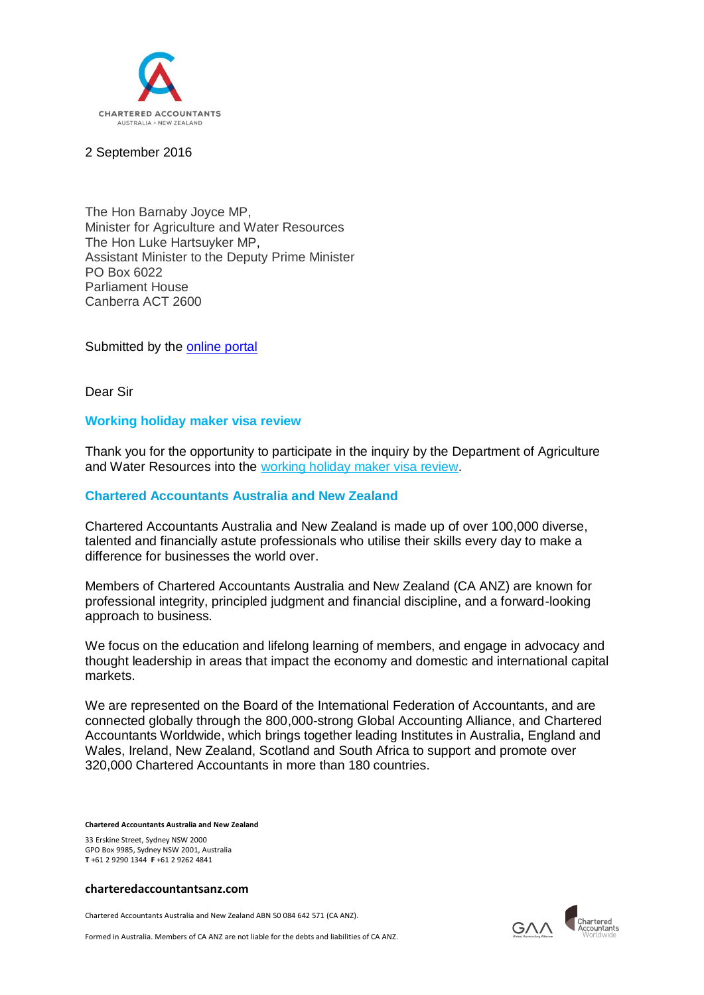

## 2 September 2016

The Hon Barnaby Joyce MP, Minister for Agriculture and Water Resources The Hon Luke Hartsuyker MP, Assistant Minister to the Deputy Prime Minister PO Box 6022 Parliament House Canberra ACT 2600

Submitted by the [online portal](https://online.agriculture.gov.au/dawr/servlet/SmartForm.html?formCode=work-hol-review)

Dear Sir

# **Working holiday maker visa review**

Thank you for the opportunity to participate in the inquiry by the Department of Agriculture and Water Resources into the [working holiday maker visa review.](http://www.agriculture.gov.au/ag-farm-food/working-holiday-maker-review)

# **Chartered Accountants Australia and New Zealand**

Chartered Accountants Australia and New Zealand is made up of over 100,000 diverse, talented and financially astute professionals who utilise their skills every day to make a difference for businesses the world over.

Members of Chartered Accountants Australia and New Zealand (CA ANZ) are known for professional integrity, principled judgment and financial discipline, and a forward-looking approach to business.

We focus on the education and lifelong learning of members, and engage in advocacy and thought leadership in areas that impact the economy and domestic and international capital markets.

We are represented on the Board of the International Federation of Accountants, and are connected globally through the 800,000-strong Global Accounting Alliance, and Chartered Accountants Worldwide, which brings together leading Institutes in Australia, England and Wales, Ireland, New Zealand, Scotland and South Africa to support and promote over 320,000 Chartered Accountants in more than 180 countries.

**Chartered Accountants Australia and New Zealand**

33 Erskine Street, Sydney NSW 2000 GPO Box 9985, Sydney NSW 2001, Australia **T** +61 2 9290 1344 **F** +61 2 9262 4841

#### **charteredaccountantsanz.com**

Chartered Accountants Australia and New Zealand ABN 50 084 642 571 (CA ANZ).

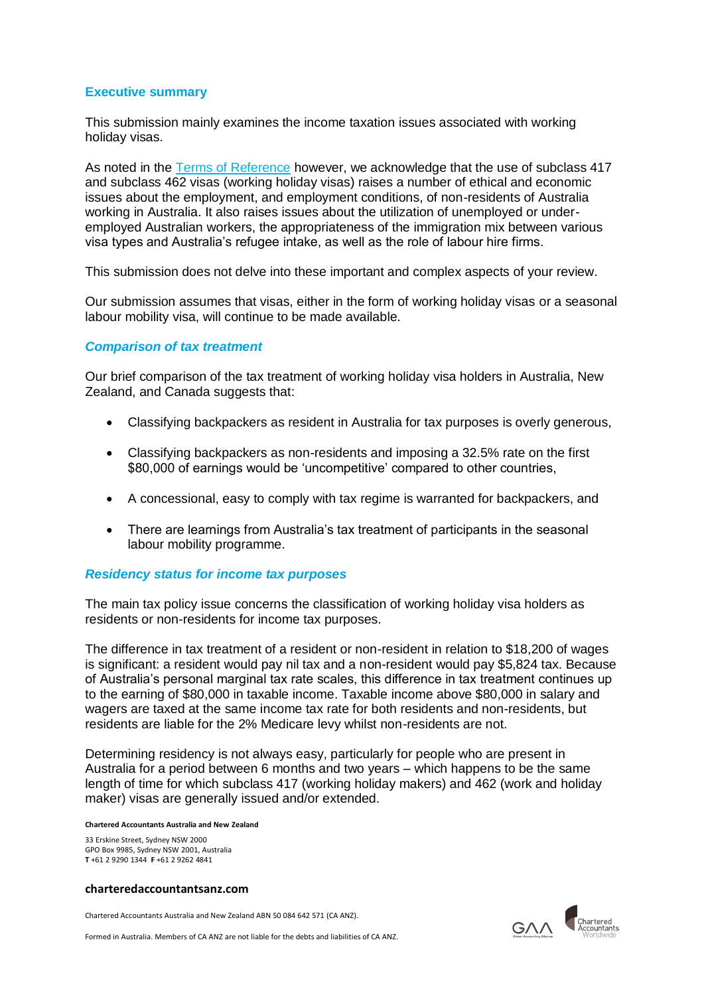# **Executive summary**

This submission mainly examines the income taxation issues associated with working holiday visas.

As noted in the [Terms of Reference](http://www.agriculture.gov.au/ag-farm-food/working-holiday-maker-review/tor) however, we acknowledge that the use of subclass 417 and subclass 462 visas (working holiday visas) raises a number of ethical and economic issues about the employment, and employment conditions, of non-residents of Australia working in Australia. It also raises issues about the utilization of unemployed or underemployed Australian workers, the appropriateness of the immigration mix between various visa types and Australia's refugee intake, as well as the role of labour hire firms.

This submission does not delve into these important and complex aspects of your review.

Our submission assumes that visas, either in the form of working holiday visas or a seasonal labour mobility visa, will continue to be made available.

## *Comparison of tax treatment*

Our brief comparison of the tax treatment of working holiday visa holders in Australia, New Zealand, and Canada suggests that:

- Classifying backpackers as resident in Australia for tax purposes is overly generous,
- Classifying backpackers as non-residents and imposing a 32.5% rate on the first \$80,000 of earnings would be 'uncompetitive' compared to other countries,
- A concessional, easy to comply with tax regime is warranted for backpackers, and
- There are learnings from Australia's tax treatment of participants in the seasonal labour mobility programme.

## *Residency status for income tax purposes*

The main tax policy issue concerns the classification of working holiday visa holders as residents or non-residents for income tax purposes.

The difference in tax treatment of a resident or non-resident in relation to \$18,200 of wages is significant: a resident would pay nil tax and a non-resident would pay \$5,824 tax. Because of Australia's personal marginal tax rate scales, this difference in tax treatment continues up to the earning of \$80,000 in taxable income. Taxable income above \$80,000 in salary and wagers are taxed at the same income tax rate for both residents and non-residents, but residents are liable for the 2% Medicare levy whilst non-residents are not.

Determining residency is not always easy, particularly for people who are present in Australia for a period between 6 months and two years – which happens to be the same length of time for which subclass 417 (working holiday makers) and 462 (work and holiday maker) visas are generally issued and/or extended.

#### **Chartered Accountants Australia and New Zealand**

33 Erskine Street, Sydney NSW 2000 GPO Box 9985, Sydney NSW 2001, Australia **T** +61 2 9290 1344 **F** +61 2 9262 4841

#### **charteredaccountantsanz.com**

Chartered Accountants Australia and New Zealand ABN 50 084 642 571 (CA ANZ).

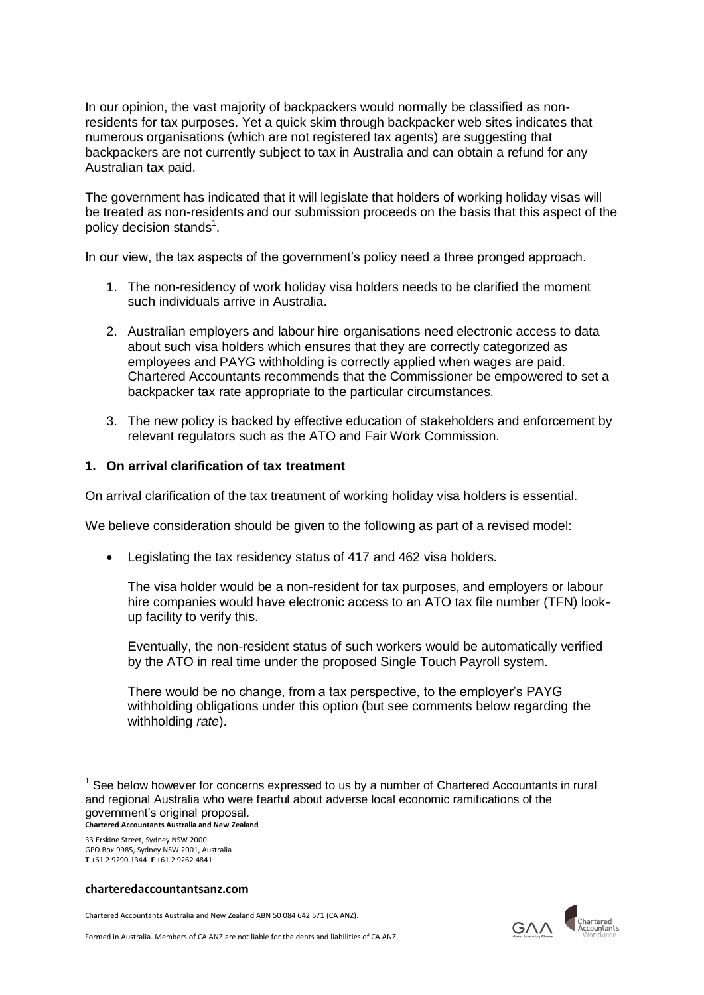In our opinion, the vast majority of backpackers would normally be classified as nonresidents for tax purposes. Yet a quick skim through backpacker web sites indicates that numerous organisations (which are not registered tax agents) are suggesting that backpackers are not currently subject to tax in Australia and can obtain a refund for any Australian tax paid.

The government has indicated that it will legislate that holders of working holiday visas will be treated as non-residents and our submission proceeds on the basis that this aspect of the policy decision stands $^1$ .

In our view, the tax aspects of the government's policy need a three pronged approach.

- 1. The non-residency of work holiday visa holders needs to be clarified the moment such individuals arrive in Australia.
- 2. Australian employers and labour hire organisations need electronic access to data about such visa holders which ensures that they are correctly categorized as employees and PAYG withholding is correctly applied when wages are paid. Chartered Accountants recommends that the Commissioner be empowered to set a backpacker tax rate appropriate to the particular circumstances.
- 3. The new policy is backed by effective education of stakeholders and enforcement by relevant regulators such as the ATO and Fair Work Commission.

# **1. On arrival clarification of tax treatment**

On arrival clarification of the tax treatment of working holiday visa holders is essential.

We believe consideration should be given to the following as part of a revised model:

Legislating the tax residency status of 417 and 462 visa holders.

The visa holder would be a non-resident for tax purposes, and employers or labour hire companies would have electronic access to an ATO tax file number (TFN) lookup facility to verify this.

Eventually, the non-resident status of such workers would be automatically verified by the ATO in real time under the proposed Single Touch Payroll system.

There would be no change, from a tax perspective, to the employer's PAYG withholding obligations under this option (but see comments below regarding the withholding *rate*).

33 Erskine Street, Sydney NSW 2000 GPO Box 9985, Sydney NSW 2001, Australia **T** +61 2 9290 1344 **F** +61 2 9262 4841

1

## **charteredaccountantsanz.com**

Chartered Accountants Australia and New Zealand ABN 50 084 642 571 (CA ANZ).



**Chartered Accountants Australia and New Zealand**  $1$  See below however for concerns expressed to us by a number of Chartered Accountants in rural and regional Australia who were fearful about adverse local economic ramifications of the government's original proposal.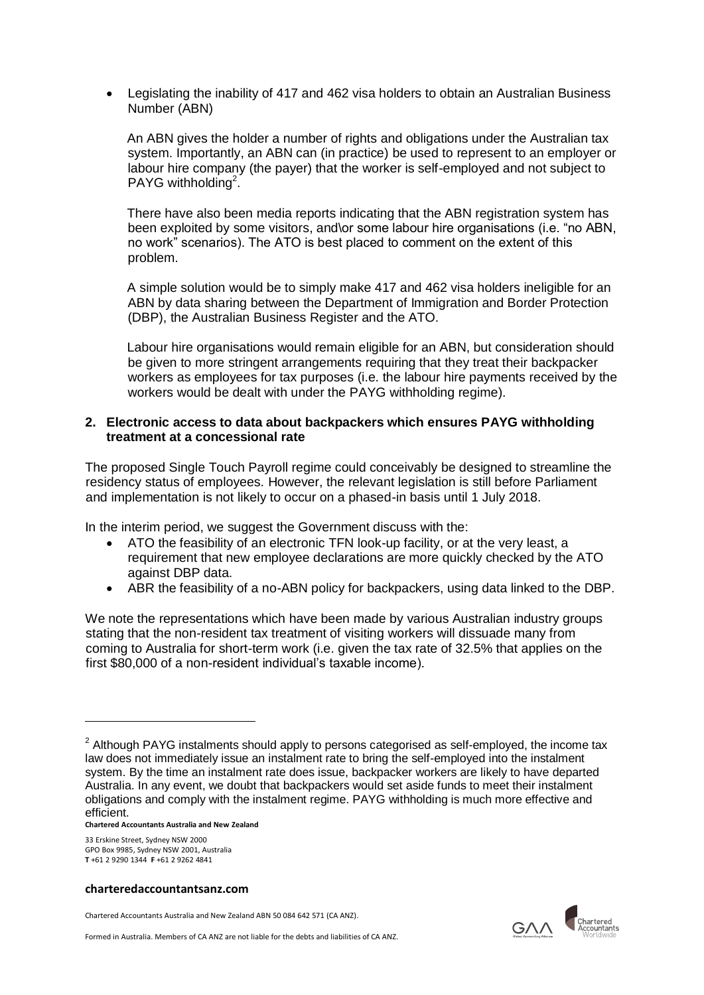Legislating the inability of 417 and 462 visa holders to obtain an Australian Business Number (ABN)

An ABN gives the holder a number of rights and obligations under the Australian tax system. Importantly, an ABN can (in practice) be used to represent to an employer or labour hire company (the payer) that the worker is self-employed and not subject to PAYG withholding<sup>2</sup>.

There have also been media reports indicating that the ABN registration system has been exploited by some visitors, and\or some labour hire organisations (i.e. "no ABN, no work" scenarios). The ATO is best placed to comment on the extent of this problem.

A simple solution would be to simply make 417 and 462 visa holders ineligible for an ABN by data sharing between the Department of Immigration and Border Protection (DBP), the Australian Business Register and the ATO.

Labour hire organisations would remain eligible for an ABN, but consideration should be given to more stringent arrangements requiring that they treat their backpacker workers as employees for tax purposes (i.e. the labour hire payments received by the workers would be dealt with under the PAYG withholding regime).

## **2. Electronic access to data about backpackers which ensures PAYG withholding treatment at a concessional rate**

The proposed Single Touch Payroll regime could conceivably be designed to streamline the residency status of employees. However, the relevant legislation is still before Parliament and implementation is not likely to occur on a phased-in basis until 1 July 2018.

In the interim period, we suggest the Government discuss with the:

- ATO the feasibility of an electronic TFN look-up facility, or at the very least, a requirement that new employee declarations are more quickly checked by the ATO against DBP data.
- ABR the feasibility of a no-ABN policy for backpackers, using data linked to the DBP.

We note the representations which have been made by various Australian industry groups stating that the non-resident tax treatment of visiting workers will dissuade many from coming to Australia for short-term work (i.e. given the tax rate of 32.5% that applies on the first \$80,000 of a non-resident individual's taxable income).

**Chartered Accountants Australia and New Zealand**

33 Erskine Street, Sydney NSW 2000 GPO Box 9985, Sydney NSW 2001, Australia **T** +61 2 9290 1344 **F** +61 2 9262 4841

-

#### **charteredaccountantsanz.com**

Chartered Accountants Australia and New Zealand ABN 50 084 642 571 (CA ANZ).



 $2$  Although PAYG instalments should apply to persons categorised as self-employed, the income tax law does not immediately issue an instalment rate to bring the self-employed into the instalment system. By the time an instalment rate does issue, backpacker workers are likely to have departed Australia. In any event, we doubt that backpackers would set aside funds to meet their instalment obligations and comply with the instalment regime. PAYG withholding is much more effective and efficient.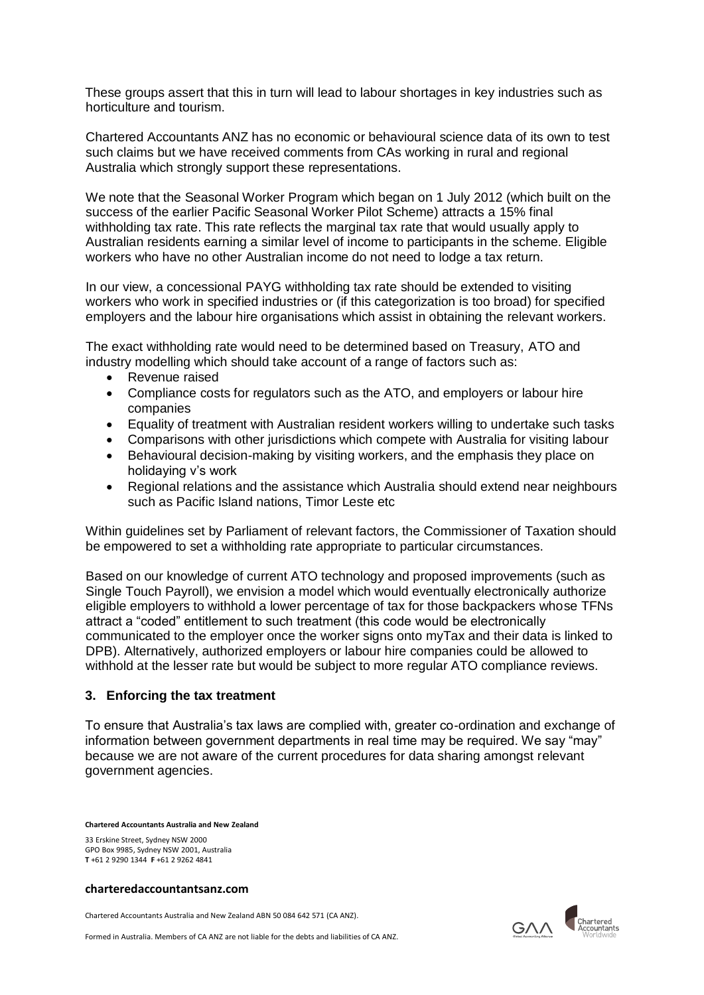These groups assert that this in turn will lead to labour shortages in key industries such as horticulture and tourism.

Chartered Accountants ANZ has no economic or behavioural science data of its own to test such claims but we have received comments from CAs working in rural and regional Australia which strongly support these representations.

We note that the Seasonal Worker Program which began on 1 July 2012 (which built on the success of the earlier Pacific Seasonal Worker Pilot Scheme) attracts a 15% final withholding tax rate. This rate reflects the marginal tax rate that would usually apply to Australian residents earning a similar level of income to participants in the scheme. Eligible workers who have no other Australian income do not need to lodge a tax return.

In our view, a concessional PAYG withholding tax rate should be extended to visiting workers who work in specified industries or (if this categorization is too broad) for specified employers and the labour hire organisations which assist in obtaining the relevant workers.

The exact withholding rate would need to be determined based on Treasury, ATO and industry modelling which should take account of a range of factors such as:

- Revenue raised
- Compliance costs for regulators such as the ATO, and employers or labour hire companies
- Equality of treatment with Australian resident workers willing to undertake such tasks
- Comparisons with other jurisdictions which compete with Australia for visiting labour
- Behavioural decision-making by visiting workers, and the emphasis they place on holidaying v's work
- Regional relations and the assistance which Australia should extend near neighbours such as Pacific Island nations, Timor Leste etc

Within guidelines set by Parliament of relevant factors, the Commissioner of Taxation should be empowered to set a withholding rate appropriate to particular circumstances.

Based on our knowledge of current ATO technology and proposed improvements (such as Single Touch Payroll), we envision a model which would eventually electronically authorize eligible employers to withhold a lower percentage of tax for those backpackers whose TFNs attract a "coded" entitlement to such treatment (this code would be electronically communicated to the employer once the worker signs onto myTax and their data is linked to DPB). Alternatively, authorized employers or labour hire companies could be allowed to withhold at the lesser rate but would be subject to more regular ATO compliance reviews.

## **3. Enforcing the tax treatment**

To ensure that Australia's tax laws are complied with, greater co-ordination and exchange of information between government departments in real time may be required. We say "may" because we are not aware of the current procedures for data sharing amongst relevant government agencies.

**Chartered Accountants Australia and New Zealand**

33 Erskine Street, Sydney NSW 2000 GPO Box 9985, Sydney NSW 2001, Australia **T** +61 2 9290 1344 **F** +61 2 9262 4841

#### **charteredaccountantsanz.com**

Chartered Accountants Australia and New Zealand ABN 50 084 642 571 (CA ANZ).

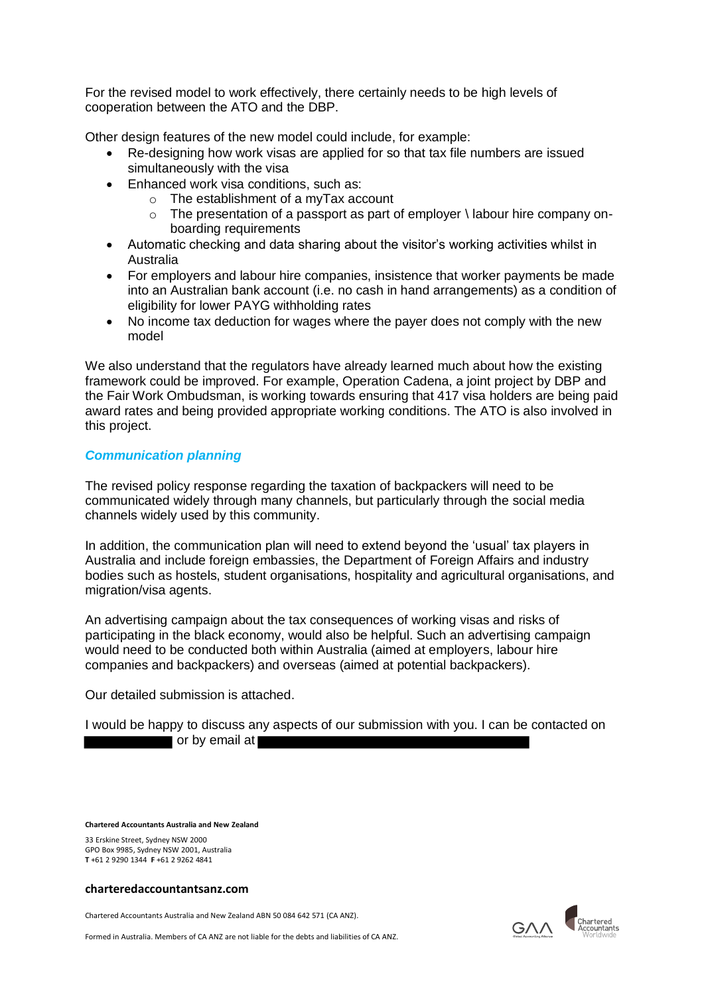For the revised model to work effectively, there certainly needs to be high levels of cooperation between the ATO and the DBP.

Other design features of the new model could include, for example:

- Re-designing how work visas are applied for so that tax file numbers are issued simultaneously with the visa
- Enhanced work visa conditions, such as:
	- o The establishment of a myTax account
	- $\circ$  The presentation of a passport as part of employer  $\setminus$  labour hire company onboarding requirements
- Automatic checking and data sharing about the visitor's working activities whilst in Australia
- For employers and labour hire companies, insistence that worker payments be made into an Australian bank account (i.e. no cash in hand arrangements) as a condition of eligibility for lower PAYG withholding rates
- No income tax deduction for wages where the payer does not comply with the new model

We also understand that the regulators have already learned much about how the existing framework could be improved. For example, Operation Cadena, a joint project by DBP and the Fair Work Ombudsman, is working towards ensuring that 417 visa holders are being paid award rates and being provided appropriate working conditions. The ATO is also involved in this project.

# *Communication planning*

The revised policy response regarding the taxation of backpackers will need to be communicated widely through many channels, but particularly through the social media channels widely used by this community.

In addition, the communication plan will need to extend beyond the 'usual' tax players in Australia and include foreign embassies, the Department of Foreign Affairs and industry bodies such as hostels, student organisations, hospitality and agricultural organisations, and migration/visa agents.

An advertising campaign about the tax consequences of working visas and risks of participating in the black economy, would also be helpful. Such an advertising campaign would need to be conducted both within Australia (aimed at employers, labour hire companies and backpackers) and overseas (aimed at potential backpackers).

Our detailed submission is attached.

I would be happy to discuss any aspects of our submission with you. I can be contacted on or by email at

**Chartered Accountants Australia and New Zealand** 

33 Erskine Street, Sydney NSW 2000 GPO Box 9985, Sydney NSW 2001, Australia **T** +61 2 9290 1344 **F** +61 2 9262 4841

#### **charteredaccountantsanz.com**

Chartered Accountants Australia and New Zealand ABN 50 084 642 571 (CA ANZ).

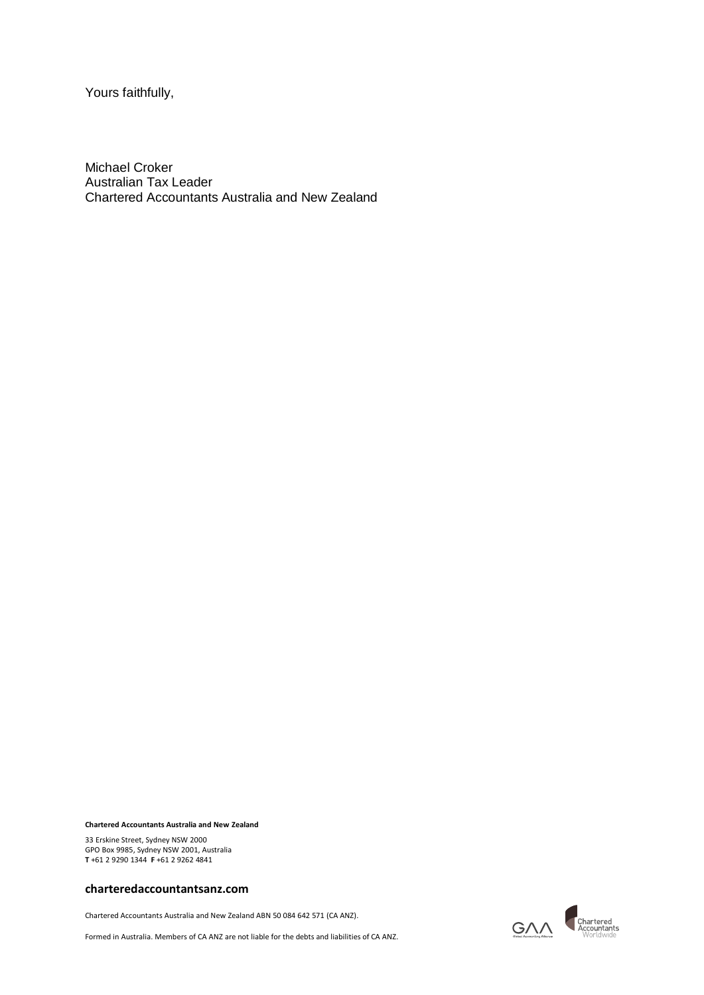Yours faithfully,

Michael Croker Australian Tax Leader Chartered Accountants Australia and New Zealand

**Chartered Accountants Australia and New Zealand**

33 Erskine Street, Sydney NSW 2000 GPO Box 9985, Sydney NSW 2001, Australia **T** +61 2 9290 1344 **F** +61 2 9262 4841

#### **charteredaccountantsanz.com**

Chartered Accountants Australia and New Zealand ABN 50 084 642 571 (CA ANZ).

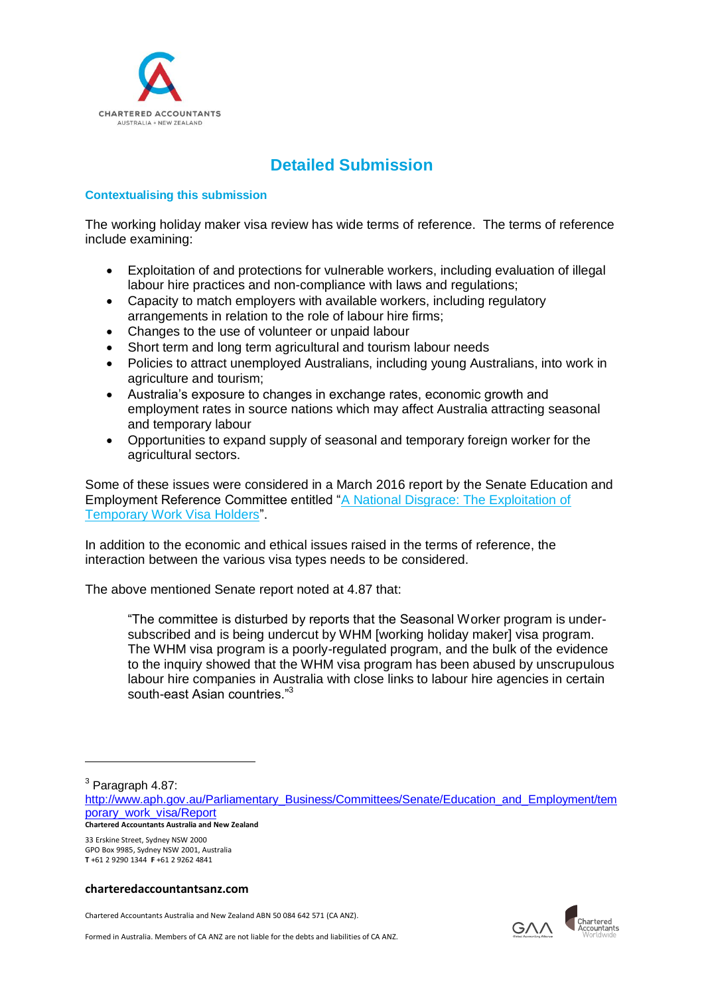

# **Detailed Submission**

## **Contextualising this submission**

The working holiday maker visa review has wide terms of reference. The terms of reference include examining:

- Exploitation of and protections for vulnerable workers, including evaluation of illegal labour hire practices and non-compliance with laws and regulations;
- Capacity to match employers with available workers, including regulatory arrangements in relation to the role of labour hire firms;
- Changes to the use of volunteer or unpaid labour
- Short term and long term agricultural and tourism labour needs
- Policies to attract unemployed Australians, including young Australians, into work in agriculture and tourism;
- Australia's exposure to changes in exchange rates, economic growth and employment rates in source nations which may affect Australia attracting seasonal and temporary labour
- Opportunities to expand supply of seasonal and temporary foreign worker for the agricultural sectors.

Some of these issues were considered in a March 2016 report by the Senate Education and Employment Reference Committee entitled ["A National Disgrace: The Exploitation of](http://www.aph.gov.au/Parliamentary_Business/Committees/Senate/Education_and_Employment/temporary_work_visa/Report)  [Temporary Work Visa Holders"](http://www.aph.gov.au/Parliamentary_Business/Committees/Senate/Education_and_Employment/temporary_work_visa/Report).

In addition to the economic and ethical issues raised in the terms of reference, the interaction between the various visa types needs to be considered.

The above mentioned Senate report noted at 4.87 that:

"The committee is disturbed by reports that the Seasonal Worker program is undersubscribed and is being undercut by WHM [working holiday maker] visa program. The WHM visa program is a poorly-regulated program, and the bulk of the evidence to the inquiry showed that the WHM visa program has been abused by unscrupulous labour hire companies in Australia with close links to labour hire agencies in certain south-east Asian countries."<sup>3</sup>

<sup>3</sup> Paragraph 4.87:

1

33 Erskine Street, Sydney NSW 2000 GPO Box 9985, Sydney NSW 2001, Australia **T** +61 2 9290 1344 **F** +61 2 9262 4841

#### **charteredaccountantsanz.com**

Chartered Accountants Australia and New Zealand ABN 50 084 642 571 (CA ANZ).



**Chartered Accountants Australia and New Zealand** [http://www.aph.gov.au/Parliamentary\\_Business/Committees/Senate/Education\\_and\\_Employment/tem](http://www.aph.gov.au/Parliamentary_Business/Committees/Senate/Education_and_Employment/temporary_work_visa/Report) [porary\\_work\\_visa/Report](http://www.aph.gov.au/Parliamentary_Business/Committees/Senate/Education_and_Employment/temporary_work_visa/Report)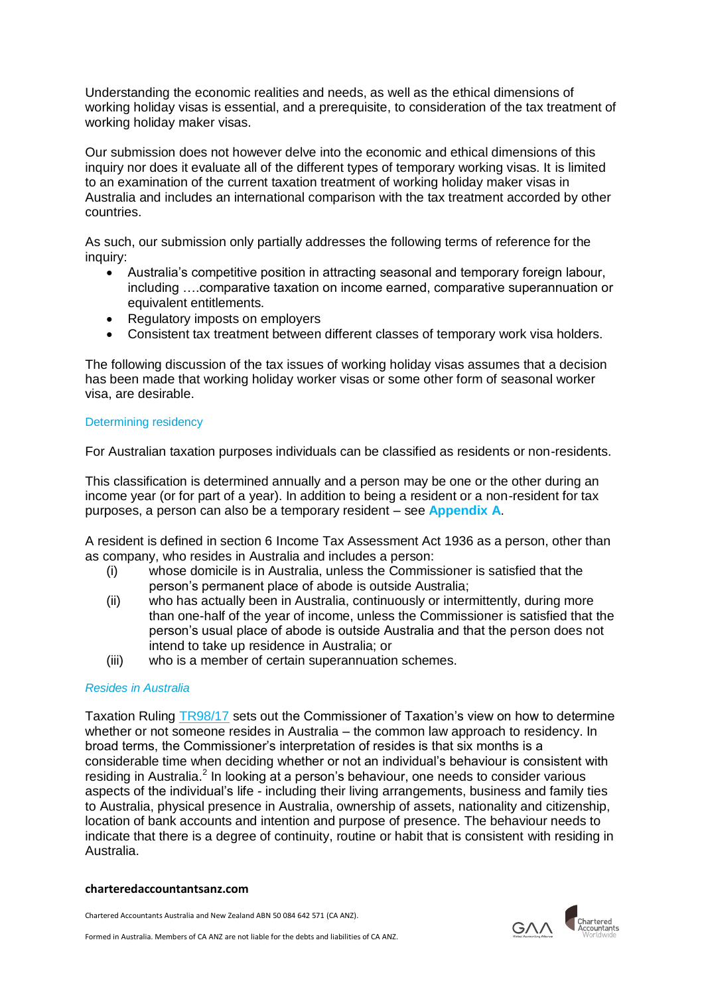Understanding the economic realities and needs, as well as the ethical dimensions of working holiday visas is essential, and a prerequisite, to consideration of the tax treatment of working holiday maker visas.

Our submission does not however delve into the economic and ethical dimensions of this inquiry nor does it evaluate all of the different types of temporary working visas. It is limited to an examination of the current taxation treatment of working holiday maker visas in Australia and includes an international comparison with the tax treatment accorded by other countries.

As such, our submission only partially addresses the following terms of reference for the inquiry:

- Australia's competitive position in attracting seasonal and temporary foreign labour, including ….comparative taxation on income earned, comparative superannuation or equivalent entitlements.
- Regulatory imposts on employers
- Consistent tax treatment between different classes of temporary work visa holders.

The following discussion of the tax issues of working holiday visas assumes that a decision has been made that working holiday worker visas or some other form of seasonal worker visa, are desirable.

## Determining residency

For Australian taxation purposes individuals can be classified as residents or non-residents.

This classification is determined annually and a person may be one or the other during an income year (or for part of a year). In addition to being a resident or a non-resident for tax purposes, a person can also be a temporary resident – see **Appendix A**.

A resident is defined in section 6 Income Tax Assessment Act 1936 as a person, other than as company, who resides in Australia and includes a person:

- (i) whose domicile is in Australia, unless the Commissioner is satisfied that the person's permanent place of abode is outside Australia;
- (ii) who has actually been in Australia, continuously or intermittently, during more than one-half of the year of income, unless the Commissioner is satisfied that the person's usual place of abode is outside Australia and that the person does not intend to take up residence in Australia; or
- (iii) who is a member of certain superannuation schemes.

## *Resides in Australia*

Taxation Ruling [TR98/17](http://law.ato.gov.au/atolaw/view.htm?Docid=TXR/TR9817/NAT/ATO/00001) sets out the Commissioner of Taxation's view on how to determine whether or not someone resides in Australia – the common law approach to residency. In broad terms, the Commissioner's interpretation of resides is that six months is a considerable time when deciding whether or not an individual's behaviour is consistent with residing in Australia.<sup>2</sup> In looking at a person's behaviour, one needs to consider various aspects of the individual's life - including their living arrangements, business and family ties to Australia, physical presence in Australia, ownership of assets, nationality and citizenship, location of bank accounts and intention and purpose of presence. The behaviour needs to indicate that there is a degree of continuity, routine or habit that is consistent with residing in Australia.

#### **charteredaccountantsanz.com**



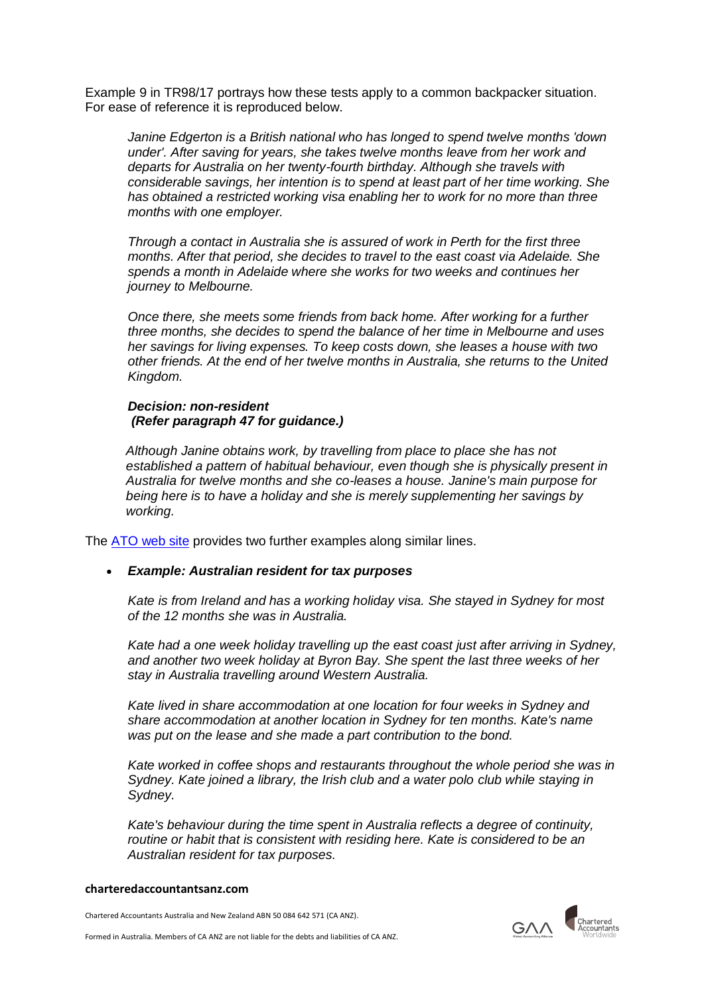Example 9 in TR98/17 portrays how these tests apply to a common backpacker situation. For ease of reference it is reproduced below.

*Janine Edgerton is a British national who has longed to spend twelve months 'down under'. After saving for years, she takes twelve months leave from her work and departs for Australia on her twenty-fourth birthday. Although she travels with considerable savings, her intention is to spend at least part of her time working. She has obtained a restricted working visa enabling her to work for no more than three months with one employer.* 

*Through a contact in Australia she is assured of work in Perth for the first three months. After that period, she decides to travel to the east coast via Adelaide. She spends a month in Adelaide where she works for two weeks and continues her journey to Melbourne.* 

*Once there, she meets some friends from back home. After working for a further three months, she decides to spend the balance of her time in Melbourne and uses her savings for living expenses. To keep costs down, she leases a house with two other friends. At the end of her twelve months in Australia, she returns to the United Kingdom.* 

## *Decision: non-resident (Refer paragraph 47 for guidance.)*

*Although Janine obtains work, by travelling from place to place she has not established a pattern of habitual behaviour, even though she is physically present in Australia for twelve months and she co-leases a house. Janine's main purpose for being here is to have a holiday and she is merely supplementing her savings by working.* 

The [ATO web site](https://www.ato.gov.au/individuals/international-tax-for-individuals/work-out-your-tax-residency/#Commonsituations) provides two further examples along similar lines.

## *Example: Australian resident for tax purposes*

*Kate is from Ireland and has a working holiday visa. She stayed in Sydney for most of the 12 months she was in Australia.*

*Kate had a one week holiday travelling up the east coast just after arriving in Sydney, and another two week holiday at Byron Bay. She spent the last three weeks of her stay in Australia travelling around Western Australia.*

*Kate lived in share accommodation at one location for four weeks in Sydney and share accommodation at another location in Sydney for ten months. Kate's name was put on the lease and she made a part contribution to the bond.*

*Kate worked in coffee shops and restaurants throughout the whole period she was in Sydney. Kate joined a library, the Irish club and a water polo club while staying in Sydney.*

*Kate's behaviour during the time spent in Australia reflects a degree of continuity, routine or habit that is consistent with residing here. Kate is considered to be an Australian resident for tax purposes.*

#### **charteredaccountantsanz.com**

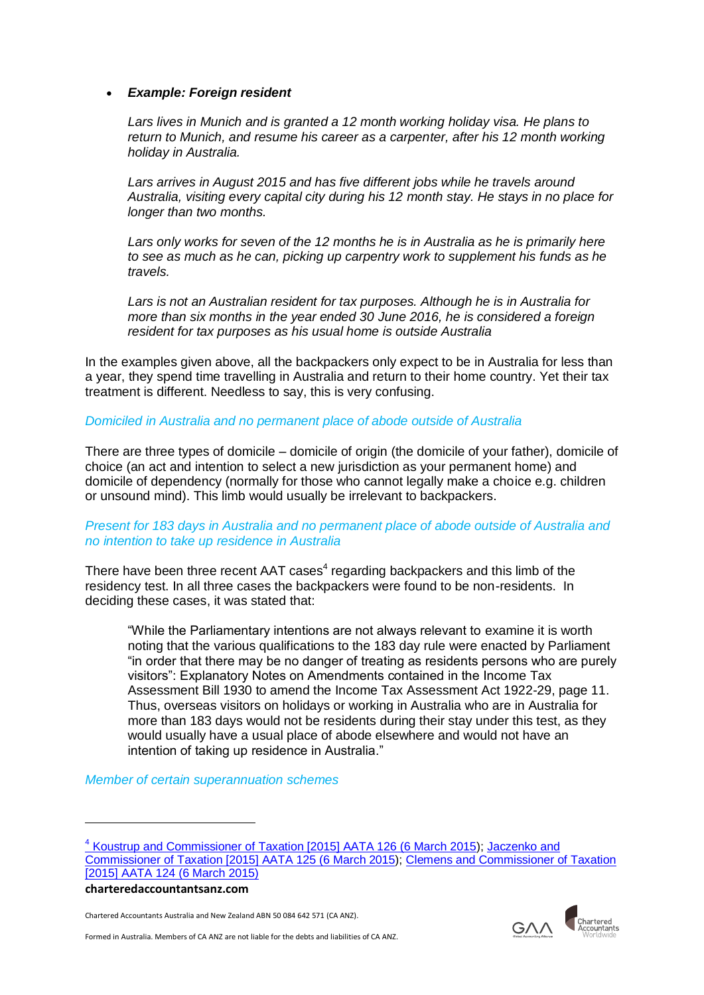## *Example: Foreign resident*

*Lars lives in Munich and is granted a 12 month working holiday visa. He plans to return to Munich, and resume his career as a carpenter, after his 12 month working holiday in Australia.*

*Lars arrives in August 2015 and has five different jobs while he travels around Australia, visiting every capital city during his 12 month stay. He stays in no place for longer than two months.*

*Lars only works for seven of the 12 months he is in Australia as he is primarily here to see as much as he can, picking up carpentry work to supplement his funds as he travels.*

*Lars is not an Australian resident for tax purposes. Although he is in Australia for more than six months in the year ended 30 June 2016, he is considered a foreign resident for tax purposes as his usual home is outside Australia*

In the examples given above, all the backpackers only expect to be in Australia for less than a year, they spend time travelling in Australia and return to their home country. Yet their tax treatment is different. Needless to say, this is very confusing.

## *Domiciled in Australia and no permanent place of abode outside of Australia*

There are three types of domicile – domicile of origin (the domicile of your father), domicile of choice (an act and intention to select a new jurisdiction as your permanent home) and domicile of dependency (normally for those who cannot legally make a choice e.g. children or unsound mind). This limb would usually be irrelevant to backpackers.

## *Present for 183 days in Australia and no permanent place of abode outside of Australia and no intention to take up residence in Australia*

There have been three recent AAT cases<sup>4</sup> regarding backpackers and this limb of the residency test. In all three cases the backpackers were found to be non-residents. In deciding these cases, it was stated that:

"While the Parliamentary intentions are not always relevant to examine it is worth noting that the various qualifications to the 183 day rule were enacted by Parliament "in order that there may be no danger of treating as residents persons who are purely visitors": Explanatory Notes on Amendments contained in the Income Tax Assessment Bill 1930 to amend the Income Tax Assessment Act 1922-29, page 11. Thus, overseas visitors on holidays or working in Australia who are in Australia for more than 183 days would not be residents during their stay under this test, as they would usually have a usual place of abode elsewhere and would not have an intention of taking up residence in Australia."

*Member of certain superannuation schemes*

**charteredaccountantsanz.com**

1

Chartered Accountants Australia and New Zealand ABN 50 084 642 571 (CA ANZ).



<sup>4</sup> [Koustrup and Commissioner of Taxation \[2015\] AATA 126 \(6 March 2015\)](http://www.austlii.edu.au/au/cases/cth/aat/2015/126.html); [Jaczenko and](http://www.austlii.edu.au/au/cases/cth/aat/2015/125.html)  [Commissioner of Taxation \[2015\] AATA 125 \(6 March 2015\)](http://www.austlii.edu.au/au/cases/cth/aat/2015/125.html); [Clemens and Commissioner of Taxation](http://www.austlii.edu.au/au/cases/cth/AATA/2015/124.html)  [\[2015\] AATA 124 \(6 March 2015\)](http://www.austlii.edu.au/au/cases/cth/AATA/2015/124.html)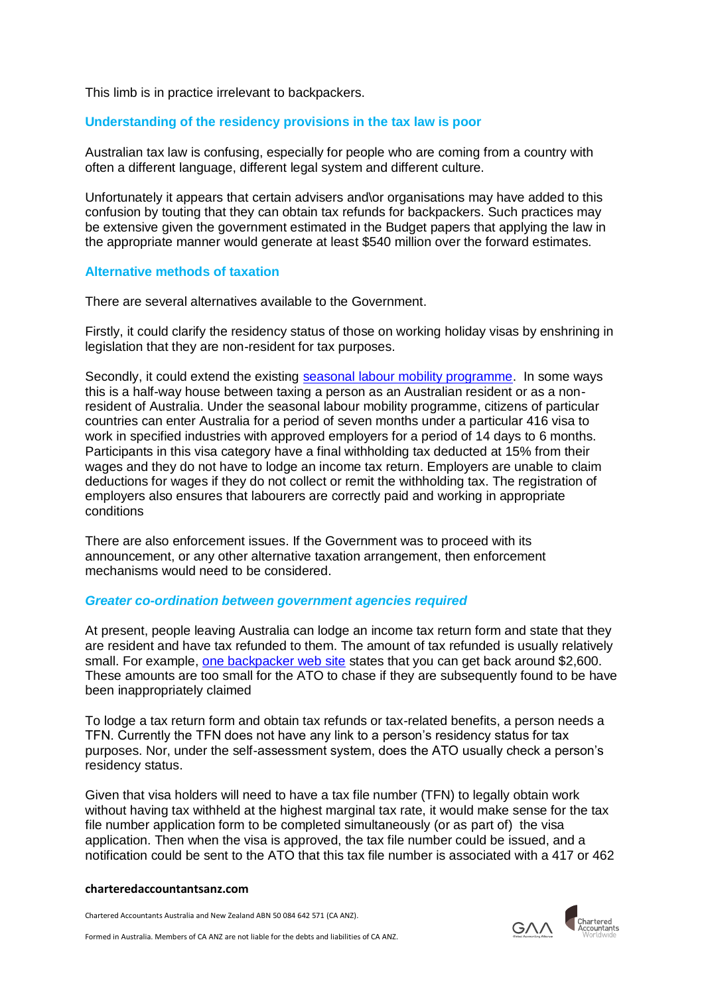This limb is in practice irrelevant to backpackers.

## **Understanding of the residency provisions in the tax law is poor**

Australian tax law is confusing, especially for people who are coming from a country with often a different language, different legal system and different culture.

Unfortunately it appears that certain advisers and\or organisations may have added to this confusion by touting that they can obtain tax refunds for backpackers. Such practices may be extensive given the government estimated in the Budget papers that applying the law in the appropriate manner would generate at least \$540 million over the forward estimates.

## **Alternative methods of taxation**

There are several alternatives available to the Government.

Firstly, it could clarify the residency status of those on working holiday visas by enshrining in legislation that they are non-resident for tax purposes.

Secondly, it could extend the existing [seasonal labour mobility programme.](http://www.border.gov.au/Trav/Visa-1/416-) In some ways this is a half-way house between taxing a person as an Australian resident or as a nonresident of Australia. Under the seasonal labour mobility programme, citizens of particular countries can enter Australia for a period of seven months under a particular 416 visa to work in specified industries with approved employers for a period of 14 days to 6 months. Participants in this visa category have a final withholding tax deducted at 15% from their wages and they do not have to lodge an income tax return. Employers are unable to claim deductions for wages if they do not collect or remit the withholding tax. The registration of employers also ensures that labourers are correctly paid and working in appropriate conditions

There are also enforcement issues. If the Government was to proceed with its announcement, or any other alternative taxation arrangement, then enforcement mechanisms would need to be considered.

## *Greater co-ordination between government agencies required*

At present, people leaving Australia can lodge an income tax return form and state that they are resident and have tax refunded to them. The amount of tax refunded is usually relatively small. For example, [one backpacker web site](https://www.taxback.com.au/) states that you can get back around \$2,600. These amounts are too small for the ATO to chase if they are subsequently found to be have been inappropriately claimed

To lodge a tax return form and obtain tax refunds or tax-related benefits, a person needs a TFN. Currently the TFN does not have any link to a person's residency status for tax purposes. Nor, under the self-assessment system, does the ATO usually check a person's residency status.

Given that visa holders will need to have a tax file number (TFN) to legally obtain work without having tax withheld at the highest marginal tax rate, it would make sense for the tax file number application form to be completed simultaneously (or as part of) the visa application. Then when the visa is approved, the tax file number could be issued, and a notification could be sent to the ATO that this tax file number is associated with a 417 or 462

#### **charteredaccountantsanz.com**

Chartered Accountants Australia and New Zealand ABN 50 084 642 571 (CA ANZ).

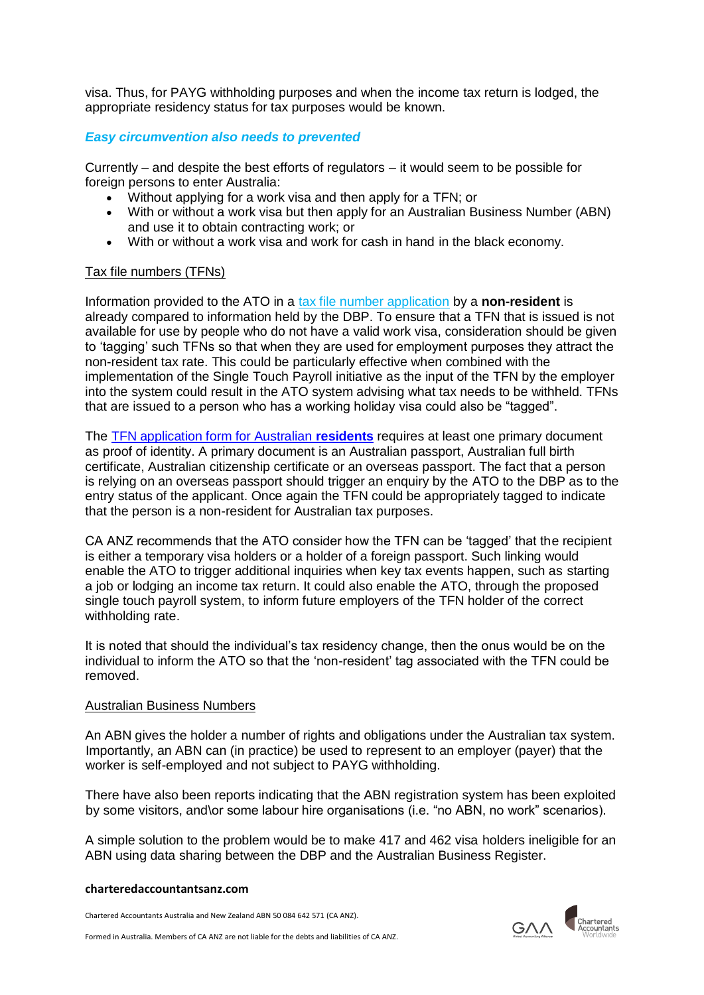visa. Thus, for PAYG withholding purposes and when the income tax return is lodged, the appropriate residency status for tax purposes would be known.

# *Easy circumvention also needs to prevented*

Currently – and despite the best efforts of regulators – it would seem to be possible for foreign persons to enter Australia:

- Without applying for a work visa and then apply for a TFN; or
- With or without a work visa but then apply for an Australian Business Number (ABN) and use it to obtain contracting work; or
- With or without a work visa and work for cash in hand in the black economy.

## Tax file numbers (TFNs)

Information provided to the ATO in a [tax file number application](https://www.ato.gov.au/individuals/tax-file-number/apply-for-a-tfn/foreign-passport-holders,-permanent-migrants-and-temporary-visitors---tfn-application/) by a **non-resident** is already compared to information held by the DBP. To ensure that a TFN that is issued is not available for use by people who do not have a valid work visa, consideration should be given to 'tagging' such TFNs so that when they are used for employment purposes they attract the non-resident tax rate. This could be particularly effective when combined with the implementation of the Single Touch Payroll initiative as the input of the TFN by the employer into the system could result in the ATO system advising what tax needs to be withheld. TFNs that are issued to a person who has a working holiday visa could also be "tagged".

The [TFN application form for Australian](https://smarteform.com.au/ato.sup.doc/tfn/external.sup.doc.html#identityDoc) **residents** requires at least one primary document as proof of identity. A primary document is an Australian passport, Australian full birth certificate, Australian citizenship certificate or an overseas passport. The fact that a person is relying on an overseas passport should trigger an enquiry by the ATO to the DBP as to the entry status of the applicant. Once again the TFN could be appropriately tagged to indicate that the person is a non-resident for Australian tax purposes.

CA ANZ recommends that the ATO consider how the TFN can be 'tagged' that the recipient is either a temporary visa holders or a holder of a foreign passport. Such linking would enable the ATO to trigger additional inquiries when key tax events happen, such as starting a job or lodging an income tax return. It could also enable the ATO, through the proposed single touch payroll system, to inform future employers of the TFN holder of the correct withholding rate.

It is noted that should the individual's tax residency change, then the onus would be on the individual to inform the ATO so that the 'non-resident' tag associated with the TFN could be removed.

## Australian Business Numbers

An ABN gives the holder a number of rights and obligations under the Australian tax system. Importantly, an ABN can (in practice) be used to represent to an employer (payer) that the worker is self-employed and not subject to PAYG withholding.

There have also been reports indicating that the ABN registration system has been exploited by some visitors, and\or some labour hire organisations (i.e. "no ABN, no work" scenarios).

A simple solution to the problem would be to make 417 and 462 visa holders ineligible for an ABN using data sharing between the DBP and the Australian Business Register.

#### **charteredaccountantsanz.com**

Chartered Accountants Australia and New Zealand ABN 50 084 642 571 (CA ANZ).

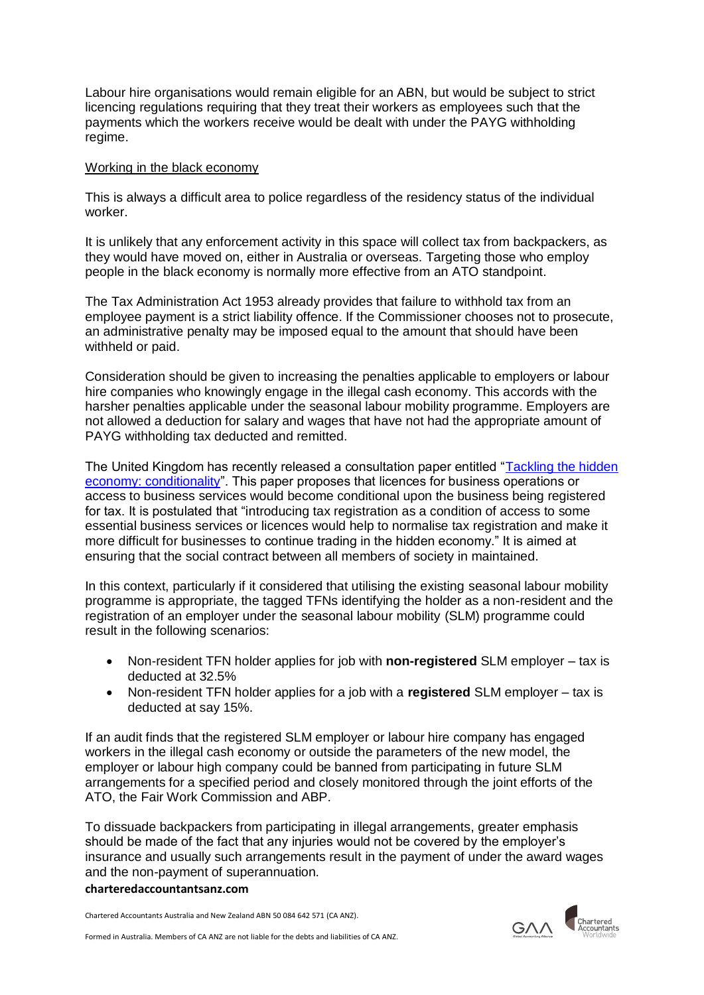Labour hire organisations would remain eligible for an ABN, but would be subject to strict licencing regulations requiring that they treat their workers as employees such that the payments which the workers receive would be dealt with under the PAYG withholding regime.

## Working in the black economy

This is always a difficult area to police regardless of the residency status of the individual worker.

It is unlikely that any enforcement activity in this space will collect tax from backpackers, as they would have moved on, either in Australia or overseas. Targeting those who employ people in the black economy is normally more effective from an ATO standpoint.

The Tax Administration Act 1953 already provides that failure to withhold tax from an employee payment is a strict liability offence. If the Commissioner chooses not to prosecute, an administrative penalty may be imposed equal to the amount that should have been withheld or paid.

Consideration should be given to increasing the penalties applicable to employers or labour hire companies who knowingly engage in the illegal cash economy. This accords with the harsher penalties applicable under the seasonal labour mobility programme. Employers are not allowed a deduction for salary and wages that have not had the appropriate amount of PAYG withholding tax deducted and remitted.

The United Kingdom has recently released a consultation paper entitled ["Tackling the hidden](https://www.gov.uk/government/consultations/tackling-the-hidden-economy-conditionality)  [economy: conditionality"](https://www.gov.uk/government/consultations/tackling-the-hidden-economy-conditionality). This paper proposes that licences for business operations or access to business services would become conditional upon the business being registered for tax. It is postulated that "introducing tax registration as a condition of access to some essential business services or licences would help to normalise tax registration and make it more difficult for businesses to continue trading in the hidden economy." It is aimed at ensuring that the social contract between all members of society in maintained.

In this context, particularly if it considered that utilising the existing seasonal labour mobility programme is appropriate, the tagged TFNs identifying the holder as a non-resident and the registration of an employer under the seasonal labour mobility (SLM) programme could result in the following scenarios:

- Non-resident TFN holder applies for job with **non-registered** SLM employer tax is deducted at 32.5%
- Non-resident TFN holder applies for a job with a **registered** SLM employer tax is deducted at say 15%.

If an audit finds that the registered SLM employer or labour hire company has engaged workers in the illegal cash economy or outside the parameters of the new model, the employer or labour high company could be banned from participating in future SLM arrangements for a specified period and closely monitored through the joint efforts of the ATO, the Fair Work Commission and ABP.

To dissuade backpackers from participating in illegal arrangements, greater emphasis should be made of the fact that any injuries would not be covered by the employer's insurance and usually such arrangements result in the payment of under the award wages and the non-payment of superannuation.

#### **charteredaccountantsanz.com**



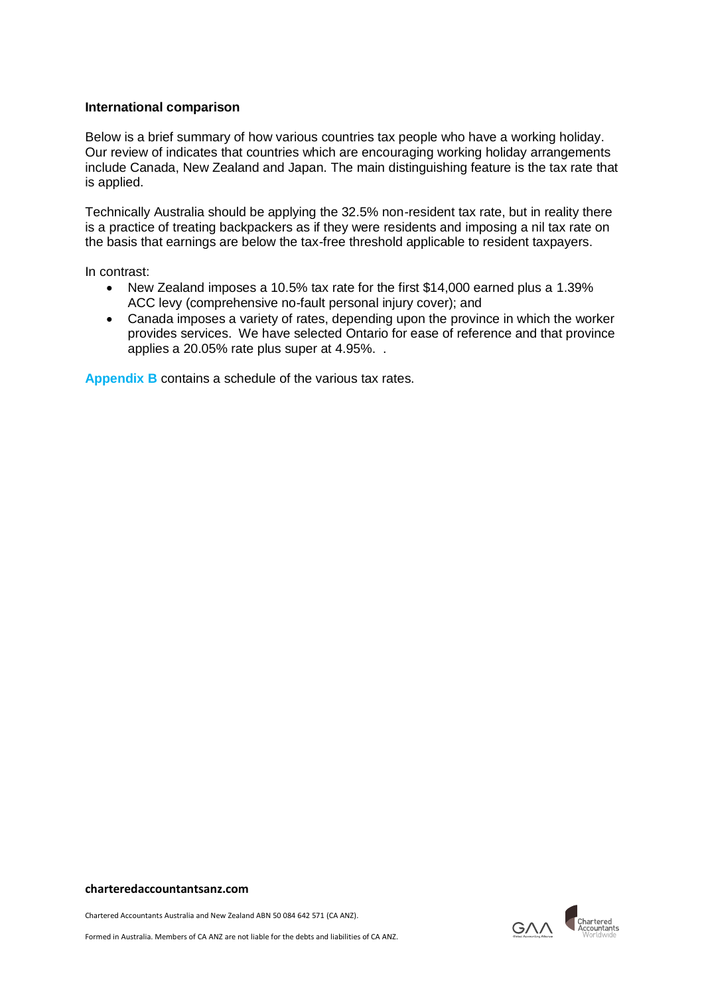## **International comparison**

Below is a brief summary of how various countries tax people who have a working holiday. Our review of indicates that countries which are encouraging working holiday arrangements include Canada, New Zealand and Japan. The main distinguishing feature is the tax rate that is applied.

Technically Australia should be applying the 32.5% non-resident tax rate, but in reality there is a practice of treating backpackers as if they were residents and imposing a nil tax rate on the basis that earnings are below the tax-free threshold applicable to resident taxpayers.

In contrast:

- New Zealand imposes a 10.5% tax rate for the first \$14,000 earned plus a 1.39% ACC levy (comprehensive no-fault personal injury cover); and
- Canada imposes a variety of rates, depending upon the province in which the worker provides services. We have selected Ontario for ease of reference and that province applies a 20.05% rate plus super at 4.95%. .

**Appendix B** contains a schedule of the various tax rates.

#### **charteredaccountantsanz.com**

Chartered Accountants Australia and New Zealand ABN 50 084 642 571 (CA ANZ).

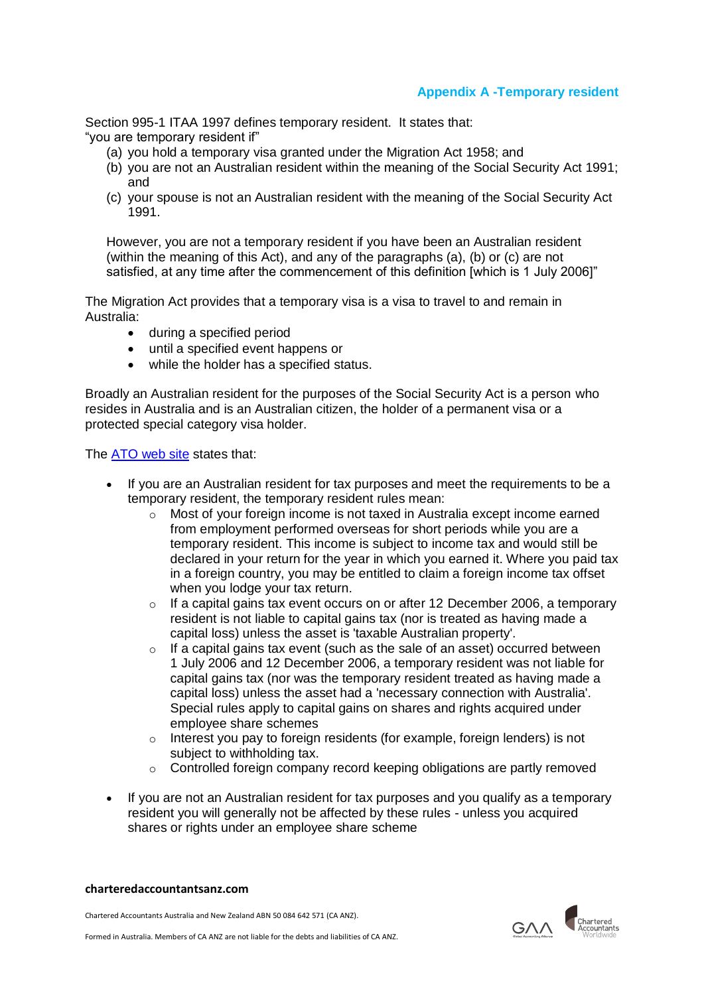# **Appendix A -Temporary resident**

Section 995-1 ITAA 1997 defines temporary resident. It states that: "you are temporary resident if"

- (a) you hold a temporary visa granted under the Migration Act 1958; and
- (b) you are not an Australian resident within the meaning of the Social Security Act 1991; and
- (c) your spouse is not an Australian resident with the meaning of the Social Security Act 1991.

However, you are not a temporary resident if you have been an Australian resident (within the meaning of this Act), and any of the paragraphs (a), (b) or (c) are not satisfied, at any time after the commencement of this definition [which is 1 July 2006]"

The Migration Act provides that a temporary visa is a visa to travel to and remain in Australia:

- during a specified period
- until a specified event happens or
- while the holder has a specified status.

Broadly an Australian resident for the purposes of the Social Security Act is a person who resides in Australia and is an Australian citizen, the holder of a permanent visa or a protected special category visa holder.

The [ATO web site](https://www.ato.gov.au/individuals/international-tax-for-individuals/in-detail/foreign-income-of-australian-residents/foreign-income-exemption-for-temporary-residents---introduction/) states that:

- If you are an Australian resident for tax purposes and meet the requirements to be a temporary resident, the temporary resident rules mean:
	- $\circ$  Most of your foreign income is not taxed in Australia except income earned from employment performed overseas for short periods while you are a temporary resident. This income is subject to income tax and would still be declared in your return for the year in which you earned it. Where you paid tax in a foreign country, you may be entitled to claim a foreign income tax offset when you lodge your tax return.
	- $\circ$  If a capital gains tax event occurs on or after 12 December 2006, a temporary resident is not liable to capital gains tax (nor is treated as having made a capital loss) unless the asset is 'taxable Australian property'.
	- o If a capital gains tax event (such as the sale of an asset) occurred between 1 July 2006 and 12 December 2006, a temporary resident was not liable for capital gains tax (nor was the temporary resident treated as having made a capital loss) unless the asset had a 'necessary connection with Australia'. Special rules apply to capital gains on shares and rights acquired under employee share schemes
	- o Interest you pay to foreign residents (for example, foreign lenders) is not subject to withholding tax.
	- o Controlled foreign company record keeping obligations are partly removed
- If you are not an Australian resident for tax purposes and you qualify as a temporary resident you will generally not be affected by these rules - unless you acquired shares or rights under an employee share scheme

#### **charteredaccountantsanz.com**